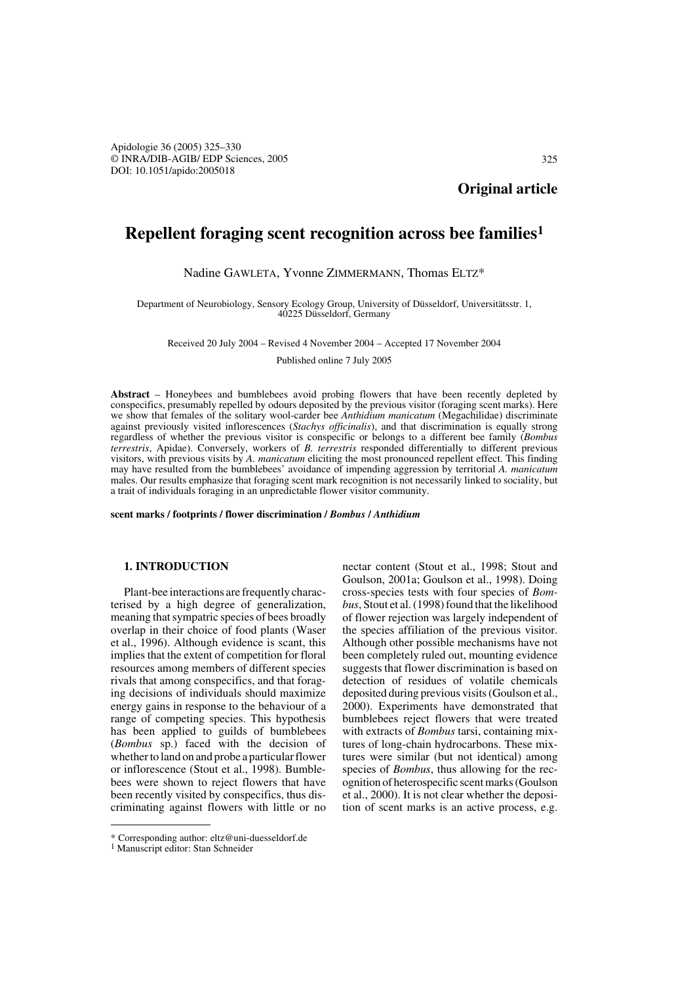**Original article**

# **Repellent foraging scent recognition across bee families1**

# Nadine GAWLETA, Yvonne ZIMMERMANN, Thomas ELTZ\*

Department of Neurobiology, Sensory Ecology Group, University of Düsseldorf, Universitätsstr. 1, 40225 Düsseldorf, Germany

Received 20 July 2004 – Revised 4 November 2004 – Accepted 17 November 2004

Published online 7 July 2005

**Abstract** – Honeybees and bumblebees avoid probing flowers that have been recently depleted by conspecifics, presumably repelled by odours deposited by the previous visitor (foraging scent marks). Here we show that females of the solitary wool-carder bee *Anthidium manicatum* (Megachilidae) discriminate against previously visited inflorescences (*Stachys officinalis*), and that discrimination is equally strong regardless of whether the previous visitor is conspecific or belongs to a different bee family (*Bombus terrestris*, Apidae). Conversely, workers of *B. terrestris* responded differentially to different previous visitors, with previous visits by *A. manicatum* eliciting the most pronounced repellent effect. This finding may have resulted from the bumblebees' avoidance of impending aggression by territorial *A. manicatum* males. Our results emphasize that foraging scent mark recognition is not necessarily linked to sociality, but a trait of individuals foraging in an unpredictable flower visitor community.

**scent marks / footprints / flower discrimination /** *Bombus* **/** *Anthidium*

# **1. INTRODUCTION**

Plant-bee interactions are frequently characterised by a high degree of generalization, meaning that sympatric species of bees broadly overlap in their choice of food plants (Waser et al., 1996). Although evidence is scant, this implies that the extent of competition for floral resources among members of different species rivals that among conspecifics, and that foraging decisions of individuals should maximize energy gains in response to the behaviour of a range of competing species. This hypothesis has been applied to guilds of bumblebees (*Bombus* sp.) faced with the decision of whether to land on and probe a particular flower or inflorescence (Stout et al., 1998). Bumblebees were shown to reject flowers that have been recently visited by conspecifics, thus discriminating against flowers with little or no

nectar content (Stout et al., 1998; Stout and Goulson, 2001a; Goulson et al., 1998). Doing cross-species tests with four species of *Bombus*, Stout et al. (1998) found that the likelihood of flower rejection was largely independent of the species affiliation of the previous visitor. Although other possible mechanisms have not been completely ruled out, mounting evidence suggests that flower discrimination is based on detection of residues of volatile chemicals deposited during previous visits (Goulson et al., 2000). Experiments have demonstrated that bumblebees reject flowers that were treated with extracts of *Bombus* tarsi, containing mixtures of long-chain hydrocarbons. These mixtures were similar (but not identical) among species of *Bombus*, thus allowing for the recognition of heterospecific scent marks (Goulson et al., 2000). It is not clear whether the deposition of scent marks is an active process, e.g.

<sup>\*</sup> Corresponding author: eltz@uni-duesseldorf.de

<sup>&</sup>lt;sup>1</sup> Manuscript editor: Stan Schneider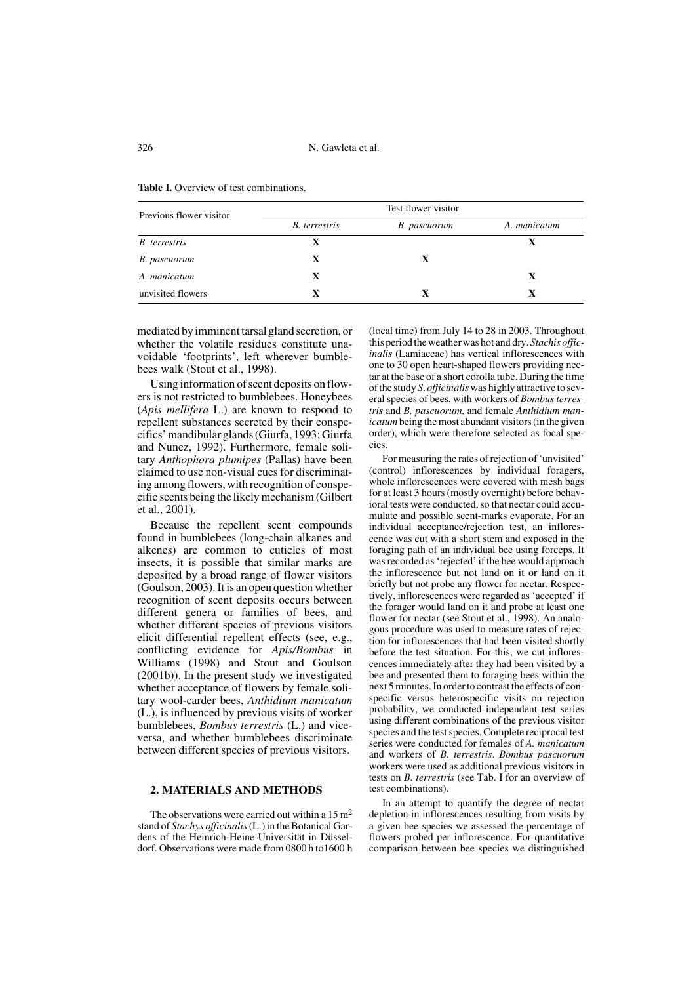| Previous flower visitor | Test flower visitor   |              |              |
|-------------------------|-----------------------|--------------|--------------|
|                         | <b>B</b> . terrestris | B. pascuorum | A. manicatum |
| <b>B.</b> terrestris    | x                     |              | X            |
| B. pascuorum            | X                     | X            |              |
| A. manicatum            | X                     |              | x            |
| unvisited flowers       |                       | X            | X            |

## **Table I.** Overview of test combinations.

mediated by imminent tarsal gland secretion, or whether the volatile residues constitute unavoidable 'footprints', left wherever bumblebees walk (Stout et al., 1998).

Using information of scent deposits on flowers is not restricted to bumblebees. Honeybees (*Apis mellifera* L.) are known to respond to repellent substances secreted by their conspecifics' mandibular glands (Giurfa, 1993; Giurfa and Nunez, 1992). Furthermore, female solitary *Anthophora plumipes* (Pallas) have been claimed to use non-visual cues for discriminating among flowers, with recognition of conspecific scents being the likely mechanism (Gilbert et al., 2001).

Because the repellent scent compounds found in bumblebees (long-chain alkanes and alkenes) are common to cuticles of most insects, it is possible that similar marks are deposited by a broad range of flower visitors (Goulson, 2003). It is an open question whether recognition of scent deposits occurs between different genera or families of bees, and whether different species of previous visitors elicit differential repellent effects (see, e.g., conflicting evidence for *Apis/Bombus* in Williams (1998) and Stout and Goulson (2001b)). In the present study we investigated whether acceptance of flowers by female solitary wool-carder bees, *Anthidium manicatum* (L.), is influenced by previous visits of worker bumblebees, *Bombus terrestris* (L.) and viceversa, and whether bumblebees discriminate between different species of previous visitors.

# **2. MATERIALS AND METHODS**

The observations were carried out within a  $15 \text{ m}^2$ stand of *Stachys officinalis* (L.) in the Botanical Gardens of the Heinrich-Heine-Universität in Düsseldorf. Observations were made from 0800 h to1600 h (local time) from July 14 to 28 in 2003. Throughout this period the weather was hot and dry. *Stachis officinalis* (Lamiaceae) has vertical inflorescences with one to 30 open heart-shaped flowers providing nectar at the base of a short corolla tube. During the time of the study *S*. *officinalis* was highly attractive to several species of bees, with workers of *Bombus terrestris* and *B. pascuorum*, and female *Anthidium manicatum* being the most abundant visitors (in the given order), which were therefore selected as focal species.

For measuring the rates of rejection of 'unvisited' (control) inflorescences by individual foragers, whole inflorescences were covered with mesh bags for at least 3 hours (mostly overnight) before behavioral tests were conducted, so that nectar could accumulate and possible scent-marks evaporate. For an individual acceptance/rejection test, an inflorescence was cut with a short stem and exposed in the foraging path of an individual bee using forceps. It was recorded as 'rejected' if the bee would approach the inflorescence but not land on it or land on it briefly but not probe any flower for nectar. Respectively, inflorescences were regarded as 'accepted' if the forager would land on it and probe at least one flower for nectar (see Stout et al., 1998). An analogous procedure was used to measure rates of rejection for inflorescences that had been visited shortly before the test situation. For this, we cut inflorescences immediately after they had been visited by a bee and presented them to foraging bees within the next 5 minutes. In order to contrast the effects of conspecific versus heterospecific visits on rejection probability, we conducted independent test series using different combinations of the previous visitor species and the test species. Complete reciprocal test series were conducted for females of *A. manicatum* and workers of *B. terrestris*. *Bombus pascuorum* workers were used as additional previous visitors in tests on *B. terrestris* (see Tab. I for an overview of test combinations).

In an attempt to quantify the degree of nectar depletion in inflorescences resulting from visits by a given bee species we assessed the percentage of flowers probed per inflorescence. For quantitative comparison between bee species we distinguished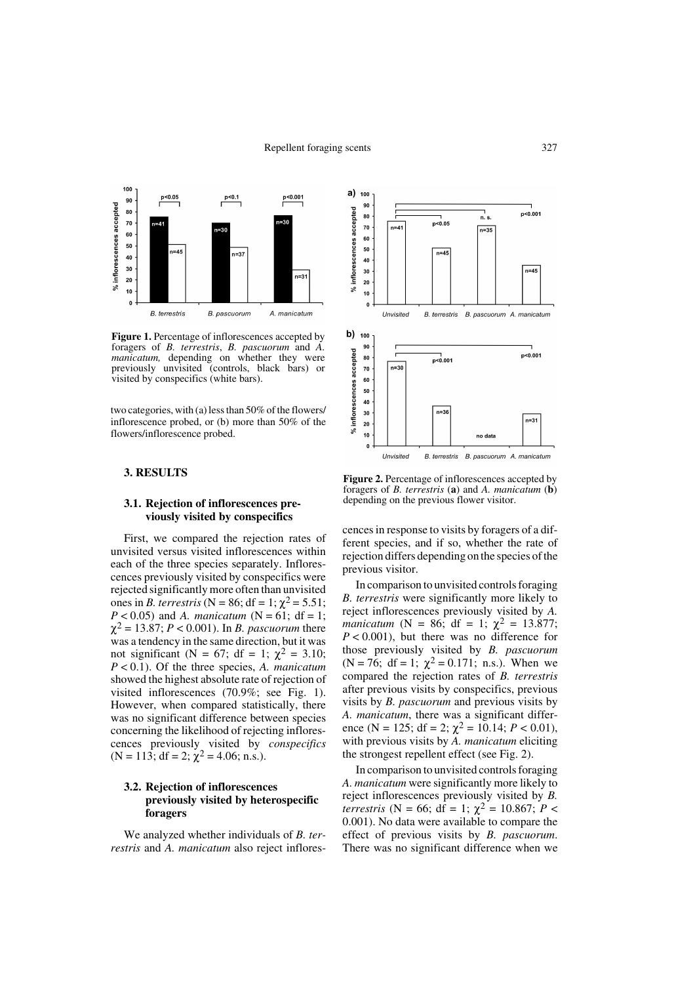

**Figure 1.** Percentage of inflorescences accepted by foragers of *B. terrestris*, *B. pascuorum* and *A. manicatum*, depending on whether they were previously unvisited (controls, black bars) or visited by conspecifics (white bars).

two categories, with (a) less than 50% of the flowers/ inflorescence probed, or (b) more than 50% of the flowers/inflorescence probed.

# **3. RESULTS**

# **3.1. Rejection of inflorescences previously visited by conspecifics**

First, we compared the rejection rates of unvisited versus visited inflorescences within each of the three species separately. Inflorescences previously visited by conspecifics were rejected significantly more often than unvisited ones in *B. terrestris* (N = 86; df = 1;  $\chi^2$  = 5.51; *P* < 0.05) and *A. manicatum* ( $N = 61$ ; df = 1;  $χ<sup>2</sup> = 13.87; P < 0.001$ ). In *B. pascuorum* there was a tendency in the same direction, but it was not significant (N = 67; df = 1;  $\chi^2$  = 3.10; *P* < 0.1). Of the three species, *A. manicatum* showed the highest absolute rate of rejection of visited inflorescences (70.9%; see Fig. 1). However, when compared statistically, there was no significant difference between species concerning the likelihood of rejecting inflorescences previously visited by *conspecifics*  $(N = 113; df = 2; \chi^2 = 4.06; n.s.).$ 

# **3.2. Rejection of inflorescences previously visited by heterospecific foragers**

We analyzed whether individuals of *B. terrestris* and *A. manicatum* also reject inflores-



**Figure 2.** Percentage of inflorescences accepted by foragers of *B. terrestris* (**a**) and *A. manicatum* (**b**) depending on the previous flower visitor.

cences in response to visits by foragers of a different species, and if so, whether the rate of rejection differs depending on the species of the previous visitor.

In comparison to unvisited controls foraging *B. terrestris* were significantly more likely to reject inflorescences previously visited by *A. manicatum* (N = 86; df = 1;  $\chi^2$  = 13.877; *P* < 0.001), but there was no difference for those previously visited by *B. pascuorum* (N = 76; df = 1;  $\chi^2$  = 0.171; n.s.). When we compared the rejection rates of *B. terrestris* after previous visits by conspecifics, previous visits by *B. pascuorum* and previous visits by *A. manicatum*, there was a significant difference (N = 125; df = 2;  $\chi^2$  = 10.14; *P* < 0.01), with previous visits by *A. manicatum* eliciting the strongest repellent effect (see Fig. 2).

In comparison to unvisited controls foraging *A. manicatum* were significantly more likely to reject inflorescences previously visited by *B. terrestris* (N = 66; df = 1;  $\chi^2$  = 10.867; *P* < 0.001). No data were available to compare the effect of previous visits by *B. pascuorum*. There was no significant difference when we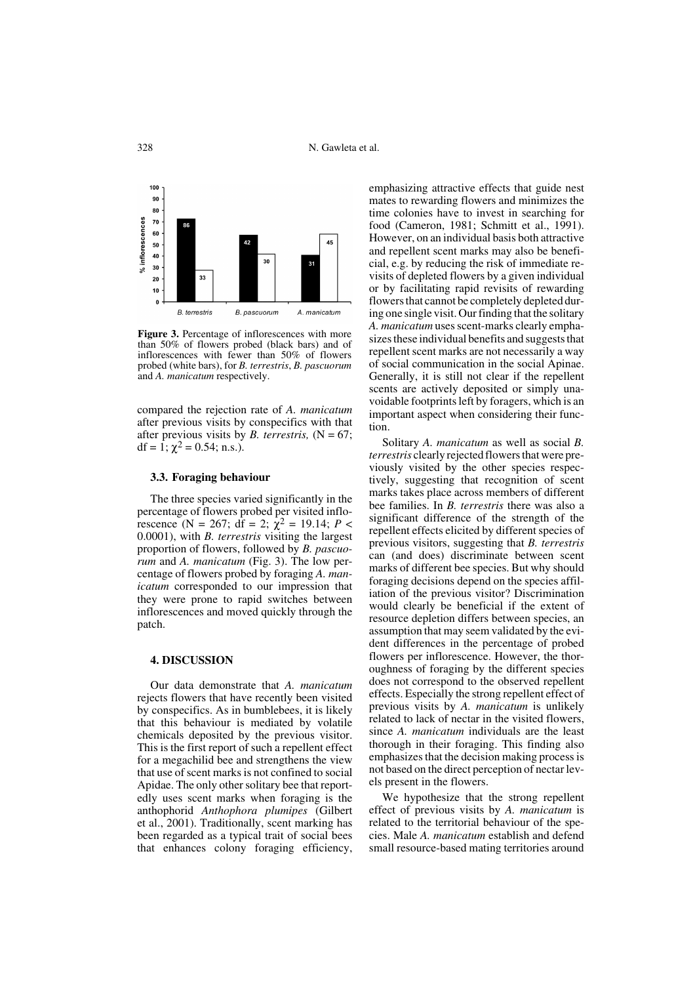

**Figure 3.** Percentage of inflorescences with more than 50% of flowers probed (black bars) and of inflorescences with fewer than 50% of flowers probed (white bars), for *B. terrestris*, *B. pascuorum* and *A. manicatum* respectively.

compared the rejection rate of *A. manicatum* after previous visits by conspecifics with that after previous visits by *B. terrestris*,  $(N = 67;$ df = 1;  $\chi^2$  = 0.54; n.s.).

# **3.3. Foraging behaviour**

The three species varied significantly in the percentage of flowers probed per visited inflorescence (N = 267; df = 2;  $\chi^2$  = 19.14; *P* < 0.0001), with *B. terrestris* visiting the largest proportion of flowers, followed by *B. pascuorum* and *A. manicatum* (Fig. 3). The low percentage of flowers probed by foraging *A. manicatum* corresponded to our impression that they were prone to rapid switches between inflorescences and moved quickly through the patch.

# **4. DISCUSSION**

Our data demonstrate that *A. manicatum* rejects flowers that have recently been visited by conspecifics. As in bumblebees, it is likely that this behaviour is mediated by volatile chemicals deposited by the previous visitor. This is the first report of such a repellent effect for a megachilid bee and strengthens the view that use of scent marks is not confined to social Apidae. The only other solitary bee that reportedly uses scent marks when foraging is the anthophorid *Anthophora plumipes* (Gilbert et al., 2001). Traditionally, scent marking has been regarded as a typical trait of social bees that enhances colony foraging efficiency,

emphasizing attractive effects that guide nest mates to rewarding flowers and minimizes the time colonies have to invest in searching for food (Cameron, 1981; Schmitt et al., 1991). However, on an individual basis both attractive and repellent scent marks may also be beneficial, e.g. by reducing the risk of immediate revisits of depleted flowers by a given individual or by facilitating rapid revisits of rewarding flowers that cannot be completely depleted during one single visit. Our finding that the solitary *A. manicatum* uses scent-marks clearly emphasizes these individual benefits and suggests that repellent scent marks are not necessarily a way of social communication in the social Apinae. Generally, it is still not clear if the repellent scents are actively deposited or simply unavoidable footprints left by foragers, which is an important aspect when considering their function.

Solitary *A. manicatum* as well as social *B. terrestris* clearly rejected flowers that were previously visited by the other species respectively, suggesting that recognition of scent marks takes place across members of different bee families. In *B. terrestris* there was also a significant difference of the strength of the repellent effects elicited by different species of previous visitors, suggesting that *B. terrestris* can (and does) discriminate between scent marks of different bee species. But why should foraging decisions depend on the species affiliation of the previous visitor? Discrimination would clearly be beneficial if the extent of resource depletion differs between species, an assumption that may seem validated by the evident differences in the percentage of probed flowers per inflorescence. However, the thoroughness of foraging by the different species does not correspond to the observed repellent effects. Especially the strong repellent effect of previous visits by *A. manicatum* is unlikely related to lack of nectar in the visited flowers, since *A. manicatum* individuals are the least thorough in their foraging. This finding also emphasizes that the decision making process is not based on the direct perception of nectar levels present in the flowers.

We hypothesize that the strong repellent effect of previous visits by *A. manicatum* is related to the territorial behaviour of the species. Male *A. manicatum* establish and defend small resource-based mating territories around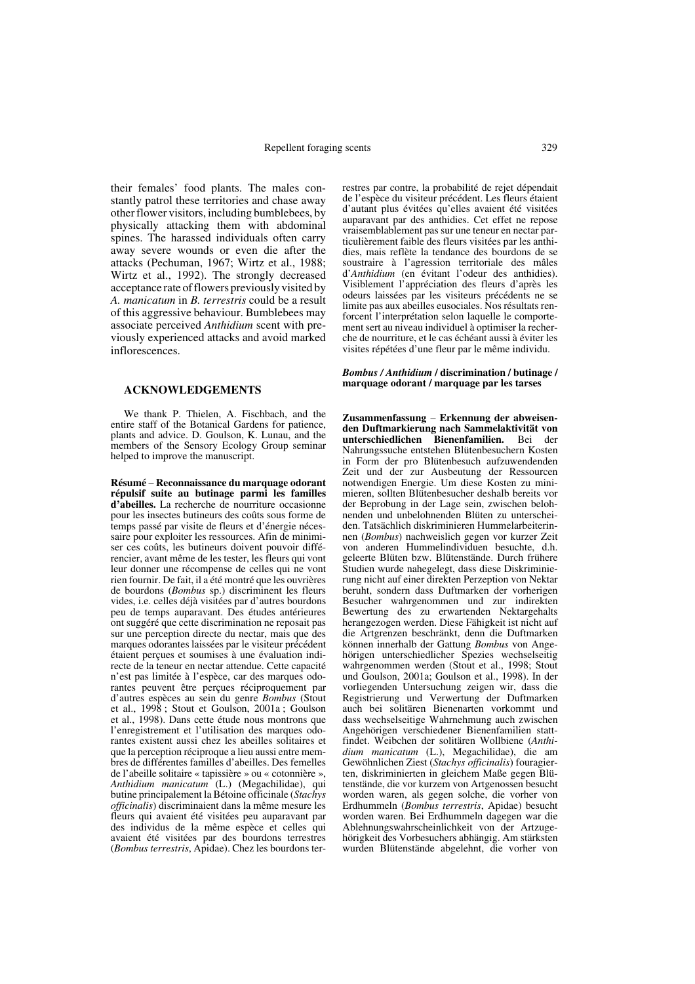their females' food plants. The males constantly patrol these territories and chase away other flower visitors, including bumblebees, by physically attacking them with abdominal spines. The harassed individuals often carry away severe wounds or even die after the attacks (Pechuman, 1967; Wirtz et al., 1988; Wirtz et al., 1992). The strongly decreased acceptance rate of flowers previously visited by *A. manicatum* in *B. terrestris* could be a result of this aggressive behaviour. Bumblebees may associate perceived *Anthidium* scent with previously experienced attacks and avoid marked inflorescences.

### **ACKNOWLEDGEMENTS**

We thank P. Thielen, A. Fischbach, and the entire staff of the Botanical Gardens for patience, plants and advice. D. Goulson, K. Lunau, and the members of the Sensory Ecology Group seminar helped to improve the manuscript.

**Résumé** – **Reconnaissance du marquage odorant répulsif suite au butinage parmi les familles d'abeilles.** La recherche de nourriture occasionne pour les insectes butineurs des coûts sous forme de temps passé par visite de fleurs et d'énergie nécessaire pour exploiter les ressources. Afin de minimiser ces coûts, les butineurs doivent pouvoir différencier, avant même de les tester, les fleurs qui vont leur donner une récompense de celles qui ne vont rien fournir. De fait, il a été montré que les ouvrières de bourdons (*Bombus* sp.) discriminent les fleurs vides, i.e. celles déjà visitées par d'autres bourdons peu de temps auparavant. Des études antérieures ont suggéré que cette discrimination ne reposait pas sur une perception directe du nectar, mais que des marques odorantes laissées par le visiteur précédent étaient perçues et soumises à une évaluation indirecte de la teneur en nectar attendue. Cette capacité n'est pas limitée à l'espèce, car des marques odorantes peuvent être perçues réciproquement par d'autres espèces au sein du genre *Bombus* (Stout et al., 1998 ; Stout et Goulson, 2001a ; Goulson et al., 1998). Dans cette étude nous montrons que l'enregistrement et l'utilisation des marques odorantes existent aussi chez les abeilles solitaires et que la perception réciproque a lieu aussi entre membres de différentes familles d'abeilles. Des femelles de l'abeille solitaire « tapissière » ou « cotonnière », *Anthidium manicatum* (L.) (Megachilidae), qui butine principalement la Bétoine officinale (*Stachys officinalis*) discriminaient dans la même mesure les fleurs qui avaient été visitées peu auparavant par des individus de la même espèce et celles qui avaient été visitées par des bourdons terrestres (*Bombus terrestris*, Apidae). Chez les bourdons ter-

restres par contre, la probabilité de rejet dépendait de l'espèce du visiteur précédent. Les fleurs étaient d'autant plus évitées qu'elles avaient été visitées auparavant par des anthidies. Cet effet ne repose vraisemblablement pas sur une teneur en nectar particulièrement faible des fleurs visitées par les anthidies, mais reflète la tendance des bourdons de se soustraire à l'agression territoriale des mâles d'*Anthidium* (en évitant l'odeur des anthidies). Visiblement l'appréciation des fleurs d'après les odeurs laissées par les visiteurs précédents ne se limite pas aux abeilles eusociales. Nos résultats renforcent l'interprétation selon laquelle le comportement sert au niveau individuel à optimiser la recherche de nourriture, et le cas échéant aussi à éviter les visites répétées d'une fleur par le même individu.

#### *Bombus / Anthidium* **/ discrimination / butinage / marquage odorant / marquage par les tarses**

**Zusammenfassung** – **Erkennung der abweisenden Duftmarkierung nach Sammelaktivität von** unterschiedlichen Bienenfamilien. Nahrungssuche entstehen Blütenbesuchern Kosten in Form der pro Blütenbesuch aufzuwendenden Zeit und der zur Ausbeutung der Ressourcen notwendigen Energie. Um diese Kosten zu minimieren, sollten Blütenbesucher deshalb bereits vor der Beprobung in der Lage sein, zwischen belohnenden und unbelohnenden Blüten zu unterscheiden. Tatsächlich diskriminieren Hummelarbeiterinnen (*Bombus*) nachweislich gegen vor kurzer Zeit von anderen Hummelindividuen besuchte, d.h. geleerte Blüten bzw. Blütenstände. Durch frühere Studien wurde nahegelegt, dass diese Diskriminierung nicht auf einer direkten Perzeption von Nektar beruht, sondern dass Duftmarken der vorherigen Besucher wahrgenommen und zur indirekten Bewertung des zu erwartenden Nektargehalts herangezogen werden. Diese Fähigkeit ist nicht auf die Artgrenzen beschränkt, denn die Duftmarken können innerhalb der Gattung *Bombus* von Angehörigen unterschiedlicher Spezies wechselseitig wahrgenommen werden (Stout et al., 1998; Stout und Goulson, 2001a; Goulson et al., 1998). In der vorliegenden Untersuchung zeigen wir, dass die Registrierung und Verwertung der Duftmarken auch bei solitären Bienenarten vorkommt und dass wechselseitige Wahrnehmung auch zwischen Angehörigen verschiedener Bienenfamilien stattfindet. Weibchen der solitären Wollbiene (*Anthidium manicatum* (L.), Megachilidae), die am Gewöhnlichen Ziest (*Stachys officinalis*) fouragierten, diskriminierten in gleichem Maße gegen Blütenstände, die vor kurzem von Artgenossen besucht worden waren, als gegen solche, die vorher von Erdhummeln (*Bombus terrestris*, Apidae) besucht worden waren. Bei Erdhummeln dagegen war die Ablehnungswahrscheinlichkeit von der Artzugehörigkeit des Vorbesuchers abhängig. Am stärksten wurden Blütenstände abgelehnt, die vorher von